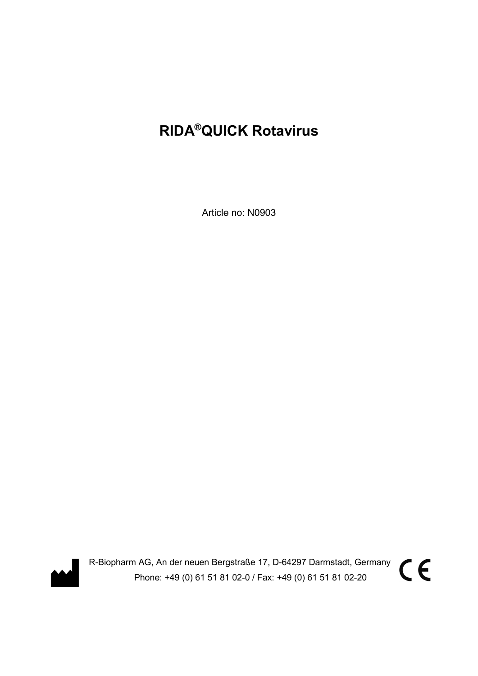# RIDA®QUICK Rotavirus

Article no: N0903



R-Biopharm AG, An der neuen Bergstraße 17, D-64297 Darmstadt, Germany Phone: +49 (0) 61 51 81 02-0 / Fax: +49 (0) 61 51 81 02-20

 $C \in$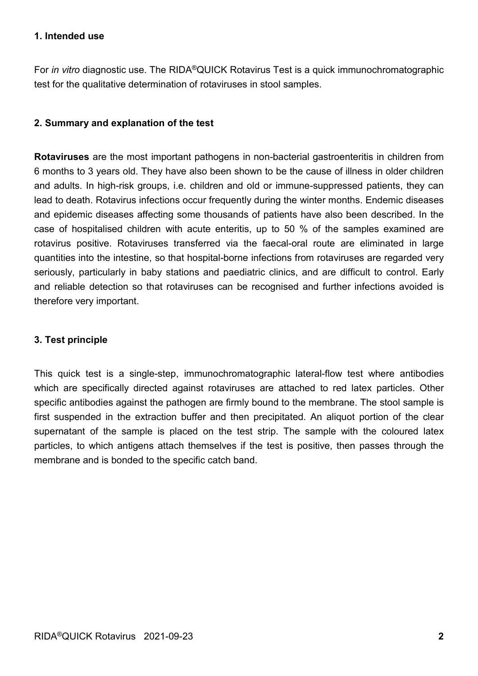#### 1. Intended use

For in vitro diagnostic use. The RIDA®QUICK Rotavirus Test is a quick immunochromatographic test for the qualitative determination of rotaviruses in stool samples.

# 2. Summary and explanation of the test

Rotaviruses are the most important pathogens in non-bacterial gastroenteritis in children from 6 months to 3 years old. They have also been shown to be the cause of illness in older children and adults. In high-risk groups, i.e. children and old or immune-suppressed patients, they can lead to death. Rotavirus infections occur frequently during the winter months. Endemic diseases and epidemic diseases affecting some thousands of patients have also been described. In the case of hospitalised children with acute enteritis, up to 50 % of the samples examined are rotavirus positive. Rotaviruses transferred via the faecal-oral route are eliminated in large quantities into the intestine, so that hospital-borne infections from rotaviruses are regarded very seriously, particularly in baby stations and paediatric clinics, and are difficult to control. Early and reliable detection so that rotaviruses can be recognised and further infections avoided is therefore very important.

# 3. Test principle

This quick test is a single-step, immunochromatographic lateral-flow test where antibodies which are specifically directed against rotaviruses are attached to red latex particles. Other specific antibodies against the pathogen are firmly bound to the membrane. The stool sample is first suspended in the extraction buffer and then precipitated. An aliquot portion of the clear supernatant of the sample is placed on the test strip. The sample with the coloured latex particles, to which antigens attach themselves if the test is positive, then passes through the membrane and is bonded to the specific catch band.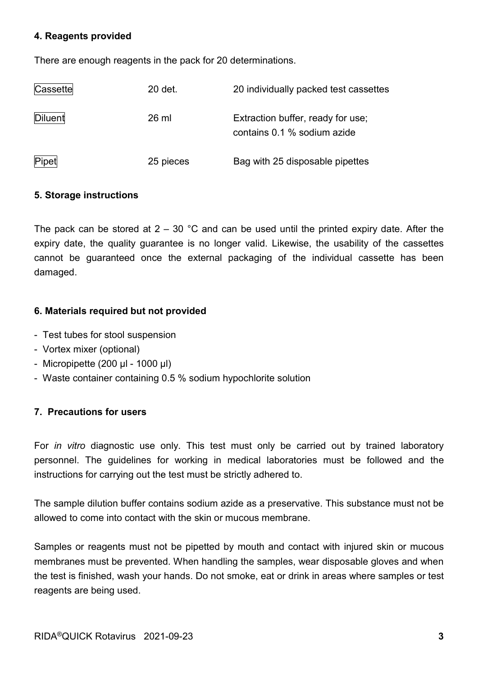#### 4. Reagents provided

There are enough reagents in the pack for 20 determinations.

| Cassette | 20 det.   | 20 individually packed test cassettes                            |
|----------|-----------|------------------------------------------------------------------|
| Diluent  | 26 ml     | Extraction buffer, ready for use;<br>contains 0.1 % sodium azide |
| Pipet    | 25 pieces | Bag with 25 disposable pipettes                                  |

# 5. Storage instructions

The pack can be stored at  $2 - 30$  °C and can be used until the printed expiry date. After the expiry date, the quality guarantee is no longer valid. Likewise, the usability of the cassettes cannot be guaranteed once the external packaging of the individual cassette has been damaged.

# 6. Materials required but not provided

- Test tubes for stool suspension
- Vortex mixer (optional)
- Micropipette (200 μl 1000 μl)
- Waste container containing 0.5 % sodium hypochlorite solution

# 7. Precautions for users

For *in vitro* diagnostic use only. This test must only be carried out by trained laboratory personnel. The guidelines for working in medical laboratories must be followed and the instructions for carrying out the test must be strictly adhered to.

The sample dilution buffer contains sodium azide as a preservative. This substance must not be allowed to come into contact with the skin or mucous membrane.

Samples or reagents must not be pipetted by mouth and contact with injured skin or mucous membranes must be prevented. When handling the samples, wear disposable gloves and when the test is finished, wash your hands. Do not smoke, eat or drink in areas where samples or test reagents are being used.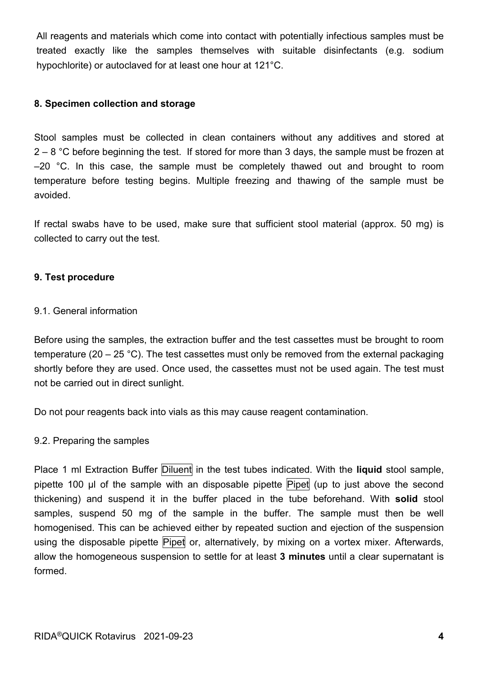All reagents and materials which come into contact with potentially infectious samples must be treated exactly like the samples themselves with suitable disinfectants (e.g. sodium hypochlorite) or autoclaved for at least one hour at 121°C.

#### 8. Specimen collection and storage

Stool samples must be collected in clean containers without any additives and stored at  $2 - 8$  °C before beginning the test. If stored for more than 3 days, the sample must be frozen at  $-20$  °C. In this case, the sample must be completely thawed out and brought to room temperature before testing begins. Multiple freezing and thawing of the sample must be avoided.

If rectal swabs have to be used, make sure that sufficient stool material (approx. 50 mg) is collected to carry out the test.

#### 9. Test procedure

#### 9.1. General information

Before using the samples, the extraction buffer and the test cassettes must be brought to room temperature (20 – 25 °C). The test cassettes must only be removed from the external packaging shortly before they are used. Once used, the cassettes must not be used again. The test must not be carried out in direct sunlight.

Do not pour reagents back into vials as this may cause reagent contamination.

#### 9.2. Preparing the samples

Place 1 ml Extraction Buffer Diluent in the test tubes indicated. With the liquid stool sample, pipette 100 μl of the sample with an disposable pipette Pipet (up to just above the second thickening) and suspend it in the buffer placed in the tube beforehand. With solid stool samples, suspend 50 mg of the sample in the buffer. The sample must then be well homogenised. This can be achieved either by repeated suction and ejection of the suspension using the disposable pipette Pipet or, alternatively, by mixing on a vortex mixer. Afterwards, allow the homogeneous suspension to settle for at least 3 minutes until a clear supernatant is formed.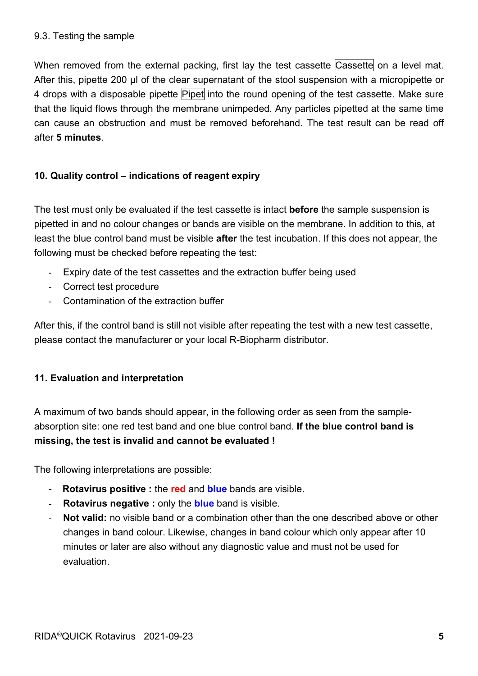#### 9.3. Testing the sample

When removed from the external packing, first lay the test cassette Cassette on a level mat. After this, pipette 200 µl of the clear supernatant of the stool suspension with a micropipette or 4 drops with a disposable pipette Pipet into the round opening of the test cassette. Make sure that the liquid flows through the membrane unimpeded. Any particles pipetted at the same time can cause an obstruction and must be removed beforehand. The test result can be read off after 5 minutes.

# 10. Quality control – indications of reagent expiry

The test must only be evaluated if the test cassette is intact **before** the sample suspension is pipetted in and no colour changes or bands are visible on the membrane. In addition to this, at least the blue control band must be visible **after** the test incubation. If this does not appear, the following must be checked before repeating the test:

- Expiry date of the test cassettes and the extraction buffer being used
- Correct test procedure
- Contamination of the extraction buffer

After this, if the control band is still not visible after repeating the test with a new test cassette, please contact the manufacturer or your local R-Biopharm distributor.

# 11. Evaluation and interpretation

A maximum of two bands should appear, in the following order as seen from the sampleabsorption site: one red test band and one blue control band. If the blue control band is missing, the test is invalid and cannot be evaluated !

The following interpretations are possible:

- Rotavirus positive : the red and blue bands are visible.
- Rotavirus negative : only the **blue** band is visible.
- Not valid: no visible band or a combination other than the one described above or other changes in band colour. Likewise, changes in band colour which only appear after 10 minutes or later are also without any diagnostic value and must not be used for evaluation.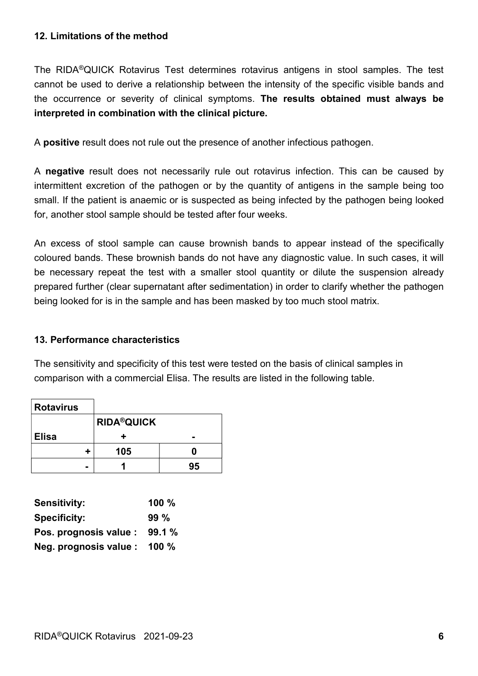#### 12. Limitations of the method

The RIDA®QUICK Rotavirus Test determines rotavirus antigens in stool samples. The test cannot be used to derive a relationship between the intensity of the specific visible bands and the occurrence or severity of clinical symptoms. The results obtained must always be interpreted in combination with the clinical picture.

A positive result does not rule out the presence of another infectious pathogen.

A negative result does not necessarily rule out rotavirus infection. This can be caused by intermittent excretion of the pathogen or by the quantity of antigens in the sample being too small. If the patient is anaemic or is suspected as being infected by the pathogen being looked for, another stool sample should be tested after four weeks.

An excess of stool sample can cause brownish bands to appear instead of the specifically coloured bands. These brownish bands do not have any diagnostic value. In such cases, it will be necessary repeat the test with a smaller stool quantity or dilute the suspension already prepared further (clear supernatant after sedimentation) in order to clarify whether the pathogen being looked for is in the sample and has been masked by too much stool matrix.

# 13. Performance characteristics

The sensitivity and specificity of this test were tested on the basis of clinical samples in comparison with a commercial Elisa. The results are listed in the following table.

| <b>Rotavirus</b> |                   |    |  |  |  |  |
|------------------|-------------------|----|--|--|--|--|
|                  | <b>RIDA®QUICK</b> |    |  |  |  |  |
| <b>Elisa</b>     |                   |    |  |  |  |  |
| ٠                | 105               |    |  |  |  |  |
| -                |                   | 95 |  |  |  |  |

| <b>Sensitivity:</b>    | $100 \%$ |
|------------------------|----------|
| <b>Specificity:</b>    | $99\%$   |
| Pos. prognosis value : | 99.1%    |
| Neg. prognosis value : | 100 $%$  |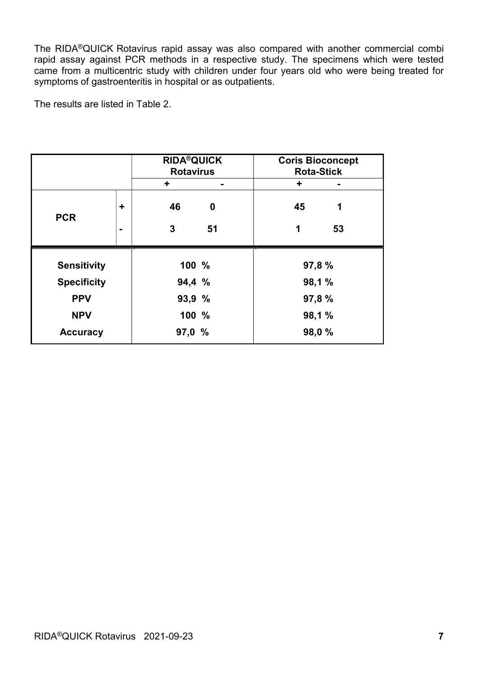The RIDA®QUICK Rotavirus rapid assay was also compared with another commercial combi rapid assay against PCR methods in a respective study. The specimens which were tested came from a multicentric study with children under four years old who were being treated for symptoms of gastroenteritis in hospital or as outpatients.

The results are listed in Table 2.

|                    |   | <b>RIDA®QUICK</b><br><b>Rotavirus</b> |    | <b>Coris Bioconcept</b><br><b>Rota-Stick</b> |                |
|--------------------|---|---------------------------------------|----|----------------------------------------------|----------------|
|                    |   | ÷                                     | ۰. | ٠                                            | $\blacksquare$ |
| <b>PCR</b>         | ÷ | 46                                    | 0  | 45                                           | 1              |
|                    | ۰ | 3                                     | 51 | 1                                            | 53             |
| <b>Sensitivity</b> |   | 100 %                                 |    | 97,8 %                                       |                |
|                    |   |                                       |    |                                              |                |
| <b>Specificity</b> |   | 94,4 %                                |    |                                              | 98,1%          |
| <b>PPV</b>         |   | 93,9 %                                |    |                                              | 97,8%          |
| <b>NPV</b>         |   | 100 %                                 |    |                                              | 98,1%          |